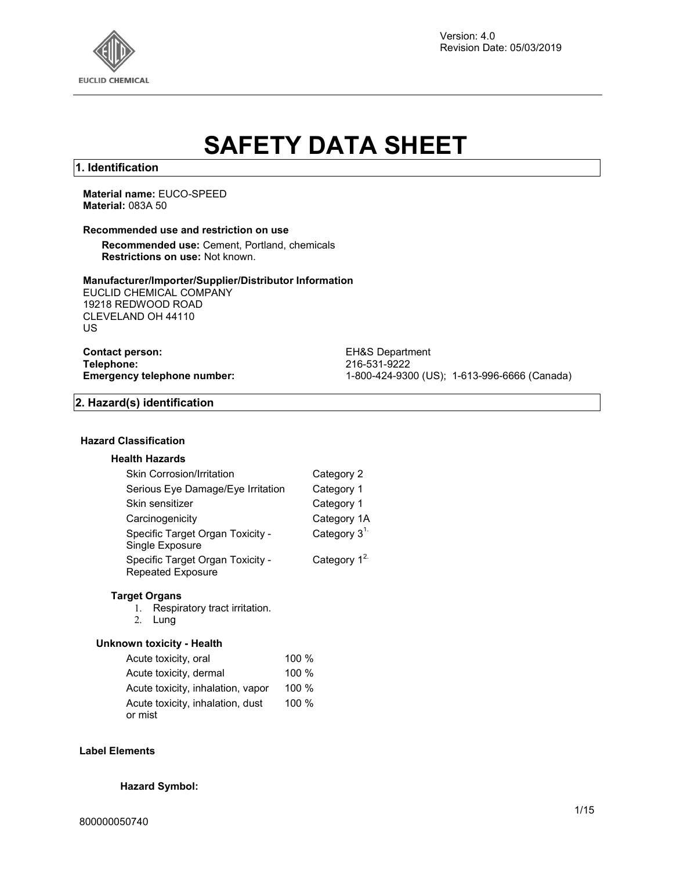

Version: 4.0 Revision Date: 05/03/2019

# **SAFETY DATA SHEET**

## **1. Identification**

**Material name:** EUCO-SPEED **Material:** 083A 50

## **Recommended use and restriction on use**

**Recommended use:** Cement, Portland, chemicals **Restrictions on use:** Not known.

#### **Manufacturer/Importer/Supplier/Distributor Information**

EUCLID CHEMICAL COMPANY 19218 REDWOOD ROAD CLEVELAND OH 44110 US

**Contact person:** EH&S Department<br> **Telephone:** 216-531-9222 **Telephone:** 216-531-9222

**Emergency telephone number:** 1-800-424-9300 (US); 1-613-996-6666 (Canada)

## **2. Hazard(s) identification**

## **Hazard Classification**

#### **Health Hazards**

| <b>Skin Corrosion/Irritation</b>                             | Category 2     |
|--------------------------------------------------------------|----------------|
| Serious Eye Damage/Eye Irritation                            | Category 1     |
| Skin sensitizer                                              | Category 1     |
| Carcinogenicity                                              | Category 1A    |
| Specific Target Organ Toxicity -<br>Single Exposure          | Category $31$  |
| Specific Target Organ Toxicity -<br><b>Repeated Exposure</b> | Category $1^2$ |
|                                                              |                |

## **Target Organs**

- 1. Respiratory tract irritation.
- 2. Lung

## **Unknown toxicity - Health**

| Acute toxicity, oral              | 100 % |
|-----------------------------------|-------|
| Acute toxicity, dermal            | 100%  |
| Acute toxicity, inhalation, vapor | 100%  |
| Acute toxicity, inhalation, dust  | 100 % |
| or mist                           |       |

## **Label Elements**

## **Hazard Symbol:**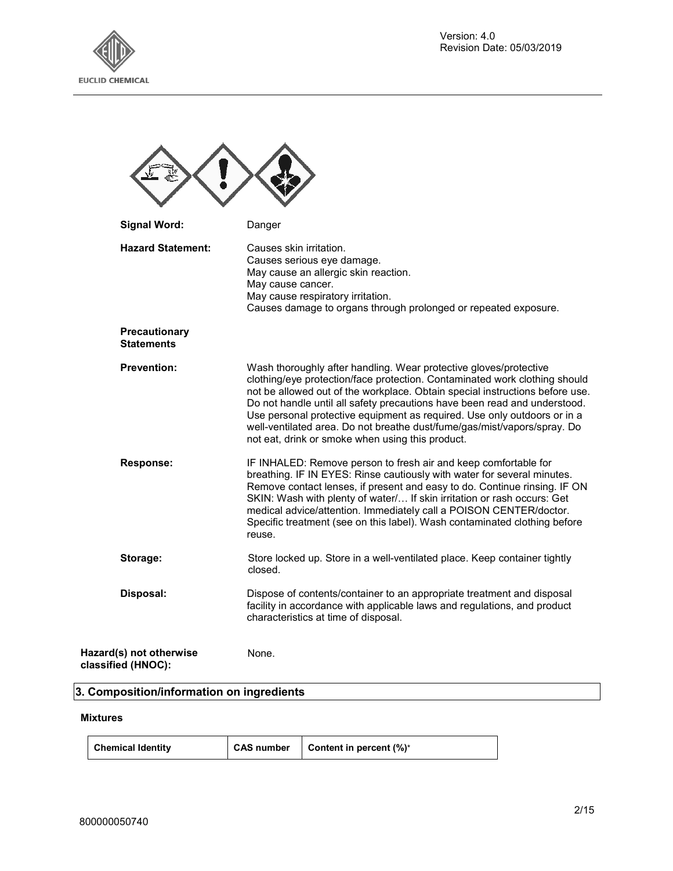



| <b>Signal Word:</b>                           | Danger                                                                                                                                                                                                                                                                                                                                                                                                                                                                                                                   |
|-----------------------------------------------|--------------------------------------------------------------------------------------------------------------------------------------------------------------------------------------------------------------------------------------------------------------------------------------------------------------------------------------------------------------------------------------------------------------------------------------------------------------------------------------------------------------------------|
| <b>Hazard Statement:</b>                      | Causes skin irritation.<br>Causes serious eye damage.<br>May cause an allergic skin reaction.<br>May cause cancer.<br>May cause respiratory irritation.<br>Causes damage to organs through prolonged or repeated exposure.                                                                                                                                                                                                                                                                                               |
| Precautionary<br><b>Statements</b>            |                                                                                                                                                                                                                                                                                                                                                                                                                                                                                                                          |
| <b>Prevention:</b>                            | Wash thoroughly after handling. Wear protective gloves/protective<br>clothing/eye protection/face protection. Contaminated work clothing should<br>not be allowed out of the workplace. Obtain special instructions before use.<br>Do not handle until all safety precautions have been read and understood.<br>Use personal protective equipment as required. Use only outdoors or in a<br>well-ventilated area. Do not breathe dust/fume/gas/mist/vapors/spray. Do<br>not eat, drink or smoke when using this product. |
| <b>Response:</b>                              | IF INHALED: Remove person to fresh air and keep comfortable for<br>breathing. IF IN EYES: Rinse cautiously with water for several minutes.<br>Remove contact lenses, if present and easy to do. Continue rinsing. IF ON<br>SKIN: Wash with plenty of water/ If skin irritation or rash occurs: Get<br>medical advice/attention. Immediately call a POISON CENTER/doctor.<br>Specific treatment (see on this label). Wash contaminated clothing before<br>reuse.                                                          |
| Storage:                                      | Store locked up. Store in a well-ventilated place. Keep container tightly<br>closed.                                                                                                                                                                                                                                                                                                                                                                                                                                     |
| Disposal:                                     | Dispose of contents/container to an appropriate treatment and disposal<br>facility in accordance with applicable laws and regulations, and product<br>characteristics at time of disposal.                                                                                                                                                                                                                                                                                                                               |
| Hazard(s) not otherwise<br>classified (HNOC): | None.                                                                                                                                                                                                                                                                                                                                                                                                                                                                                                                    |

## **3. Composition/information on ingredients**

## **Mixtures**

| Chemical Identity | CAS number | Content in percent (%)* |
|-------------------|------------|-------------------------|
|-------------------|------------|-------------------------|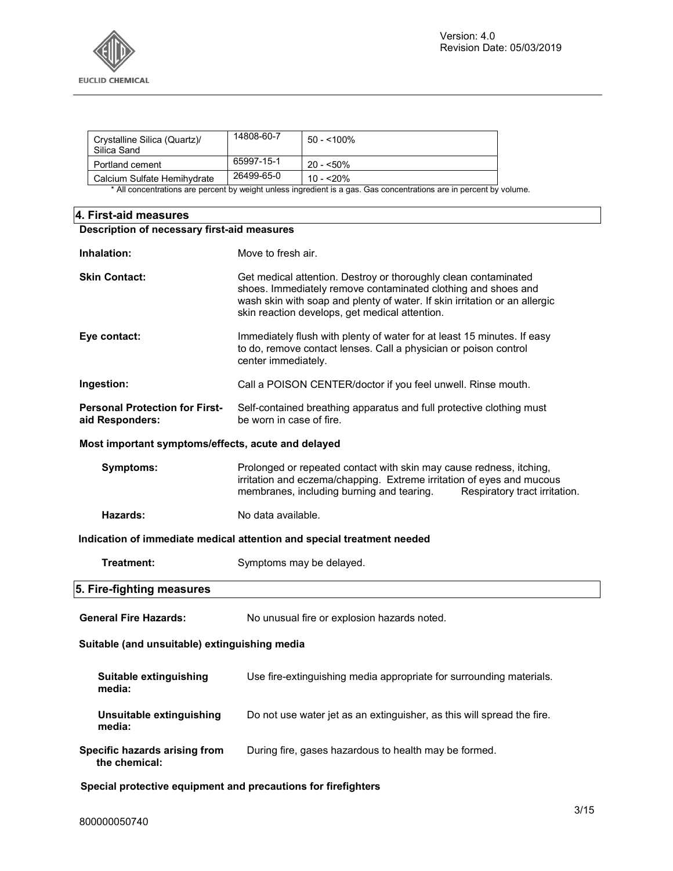

| Crystalline Silica (Quartz)/<br>Silica Sand | 14808-60-7 | 50 - <100%  |
|---------------------------------------------|------------|-------------|
| Portland cement                             | 65997-15-1 | $20 - 50\%$ |
| Calcium Sulfate Hemihydrate                 | 26499-65-0 | $10 - 20%$  |

\* All concentrations are percent by weight unless ingredient is a gas. Gas concentrations are in percent by volume.

## **4. First-aid measures**

| Description of necessary first-aid measures                   |                                                                                                                                                                                                                                                                  |  |
|---------------------------------------------------------------|------------------------------------------------------------------------------------------------------------------------------------------------------------------------------------------------------------------------------------------------------------------|--|
| Inhalation:                                                   | Move to fresh air.                                                                                                                                                                                                                                               |  |
| <b>Skin Contact:</b>                                          | Get medical attention. Destroy or thoroughly clean contaminated<br>shoes. Immediately remove contaminated clothing and shoes and<br>wash skin with soap and plenty of water. If skin irritation or an allergic<br>skin reaction develops, get medical attention. |  |
| Eye contact:                                                  | Immediately flush with plenty of water for at least 15 minutes. If easy<br>to do, remove contact lenses. Call a physician or poison control<br>center immediately.                                                                                               |  |
| Ingestion:                                                    | Call a POISON CENTER/doctor if you feel unwell. Rinse mouth.                                                                                                                                                                                                     |  |
| <b>Personal Protection for First-</b><br>aid Responders:      | Self-contained breathing apparatus and full protective clothing must<br>be worn in case of fire.                                                                                                                                                                 |  |
| Most important symptoms/effects, acute and delayed            |                                                                                                                                                                                                                                                                  |  |
| Symptoms:                                                     | Prolonged or repeated contact with skin may cause redness, itching,<br>irritation and eczema/chapping. Extreme irritation of eyes and mucous<br>membranes, including burning and tearing.<br>Respiratory tract irritation.                                       |  |
| Hazards:                                                      | No data available.                                                                                                                                                                                                                                               |  |
|                                                               | Indication of immediate medical attention and special treatment needed                                                                                                                                                                                           |  |
| Treatment:                                                    | Symptoms may be delayed.                                                                                                                                                                                                                                         |  |
| 5. Fire-fighting measures                                     |                                                                                                                                                                                                                                                                  |  |
| <b>General Fire Hazards:</b>                                  | No unusual fire or explosion hazards noted.                                                                                                                                                                                                                      |  |
| Suitable (and unsuitable) extinguishing media                 |                                                                                                                                                                                                                                                                  |  |
| Suitable extinguishing<br>media:                              | Use fire-extinguishing media appropriate for surrounding materials.                                                                                                                                                                                              |  |
| Unsuitable extinguishing<br>media:                            | Do not use water jet as an extinguisher, as this will spread the fire.                                                                                                                                                                                           |  |
| Specific hazards arising from<br>the chemical:                | During fire, gases hazardous to health may be formed.                                                                                                                                                                                                            |  |
| Special protective equipment and precautions for firefighters |                                                                                                                                                                                                                                                                  |  |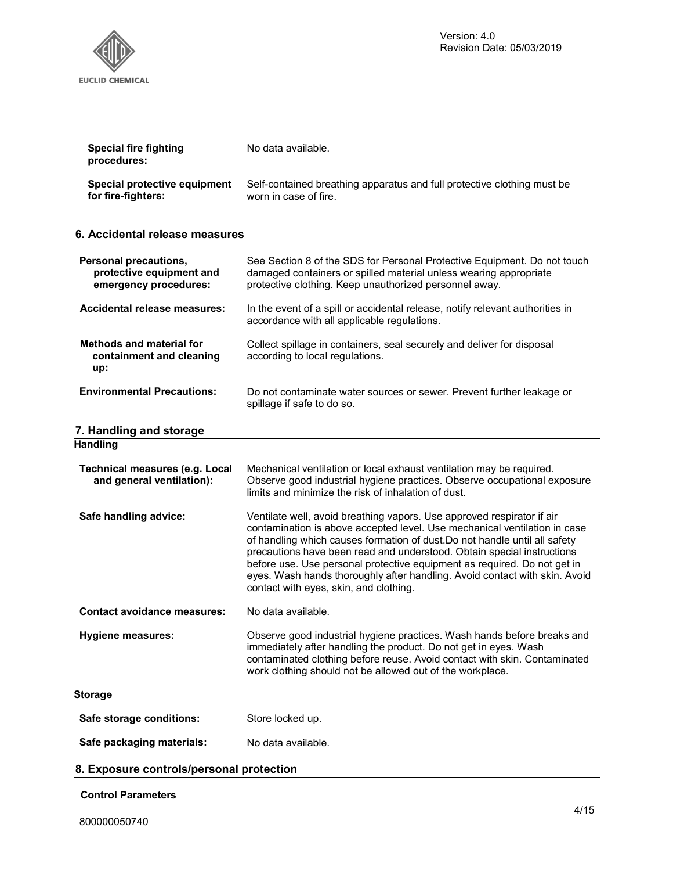

| Special fire fighting<br>procedures: | No data available.                                                      |
|--------------------------------------|-------------------------------------------------------------------------|
| Special protective equipment         | Self-contained breathing apparatus and full protective clothing must be |
| for fire-fighters:                   | worn in case of fire.                                                   |

## **6. Accidental release measures**

| Personal precautions,<br>protective equipment and<br>emergency procedures: | See Section 8 of the SDS for Personal Protective Equipment. Do not touch<br>damaged containers or spilled material unless wearing appropriate<br>protective clothing. Keep unauthorized personnel away.                                                                                                                                                                                                                                                                                                         |
|----------------------------------------------------------------------------|-----------------------------------------------------------------------------------------------------------------------------------------------------------------------------------------------------------------------------------------------------------------------------------------------------------------------------------------------------------------------------------------------------------------------------------------------------------------------------------------------------------------|
| Accidental release measures:                                               | In the event of a spill or accidental release, notify relevant authorities in<br>accordance with all applicable regulations.                                                                                                                                                                                                                                                                                                                                                                                    |
| <b>Methods and material for</b><br>containment and cleaning<br>up:         | Collect spillage in containers, seal securely and deliver for disposal<br>according to local regulations.                                                                                                                                                                                                                                                                                                                                                                                                       |
| <b>Environmental Precautions:</b>                                          | Do not contaminate water sources or sewer. Prevent further leakage or<br>spillage if safe to do so.                                                                                                                                                                                                                                                                                                                                                                                                             |
| 7. Handling and storage                                                    |                                                                                                                                                                                                                                                                                                                                                                                                                                                                                                                 |
| <b>Handling</b>                                                            |                                                                                                                                                                                                                                                                                                                                                                                                                                                                                                                 |
| <b>Technical measures (e.g. Local</b><br>and general ventilation):         | Mechanical ventilation or local exhaust ventilation may be required.<br>Observe good industrial hygiene practices. Observe occupational exposure<br>limits and minimize the risk of inhalation of dust.                                                                                                                                                                                                                                                                                                         |
| Safe handling advice:                                                      | Ventilate well, avoid breathing vapors. Use approved respirator if air<br>contamination is above accepted level. Use mechanical ventilation in case<br>of handling which causes formation of dust. Do not handle until all safety<br>precautions have been read and understood. Obtain special instructions<br>before use. Use personal protective equipment as required. Do not get in<br>eyes. Wash hands thoroughly after handling. Avoid contact with skin. Avoid<br>contact with eyes, skin, and clothing. |
| <b>Contact avoidance measures:</b>                                         | No data available.                                                                                                                                                                                                                                                                                                                                                                                                                                                                                              |
| <b>Hygiene measures:</b>                                                   | Observe good industrial hygiene practices. Wash hands before breaks and<br>immediately after handling the product. Do not get in eyes. Wash<br>contaminated clothing before reuse. Avoid contact with skin. Contaminated<br>work clothing should not be allowed out of the workplace.                                                                                                                                                                                                                           |
| <b>Storage</b>                                                             |                                                                                                                                                                                                                                                                                                                                                                                                                                                                                                                 |
| Safe storage conditions:                                                   | Store locked up.                                                                                                                                                                                                                                                                                                                                                                                                                                                                                                |
| Safe packaging materials:                                                  | No data available.                                                                                                                                                                                                                                                                                                                                                                                                                                                                                              |

## **8. Exposure controls/personal protection**

**Control Parameters**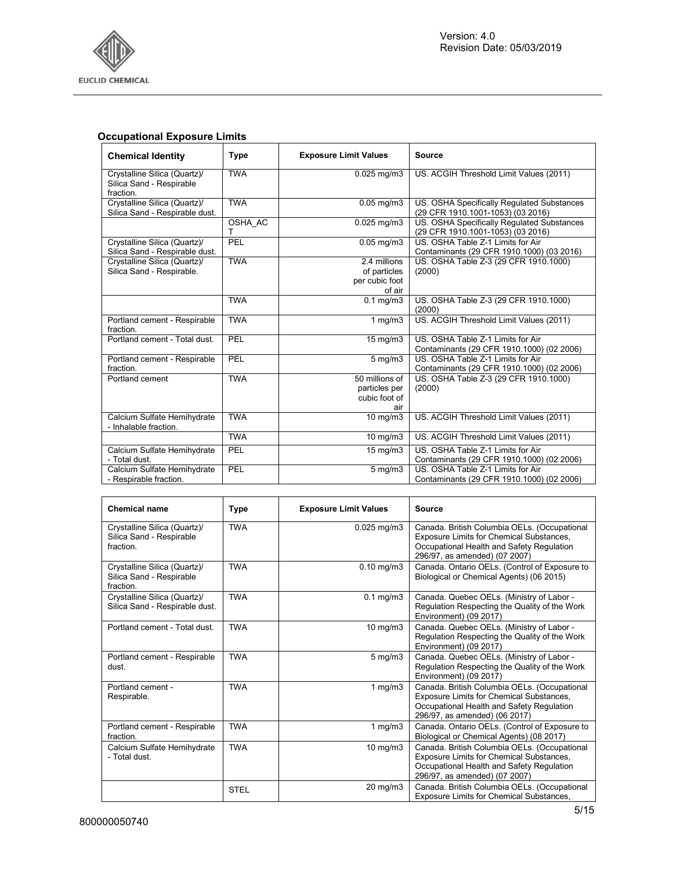

## **Occupational Exposure Limits**

| <b>Chemical Identity</b>                                              | <b>Type</b>  | <b>Exposure Limit Values</b>                             | <b>Source</b>                                                                   |
|-----------------------------------------------------------------------|--------------|----------------------------------------------------------|---------------------------------------------------------------------------------|
| Crystalline Silica (Quartz)/<br>Silica Sand - Respirable<br>fraction. | <b>TWA</b>   | $0.025$ mg/m $3$                                         | US. ACGIH Threshold Limit Values (2011)                                         |
| Crystalline Silica (Quartz)/<br>Silica Sand - Respirable dust.        | <b>TWA</b>   | $0.05$ mg/m $3$                                          | US. OSHA Specifically Regulated Substances<br>(29 CFR 1910.1001-1053) (03 2016) |
|                                                                       | OSHA AC<br>т | $0.025$ mg/m $3$                                         | US. OSHA Specifically Regulated Substances<br>(29 CFR 1910.1001-1053) (03 2016) |
| Crystalline Silica (Quartz)/<br>Silica Sand - Respirable dust.        | PEL          | $0.05$ mg/m $3$                                          | US. OSHA Table Z-1 Limits for Air<br>Contaminants (29 CFR 1910.1000) (03 2016)  |
| Crystalline Silica (Quartz)/<br>Silica Sand - Respirable.             | <b>TWA</b>   | 2.4 millions<br>of particles<br>per cubic foot<br>of air | US. OSHA Table Z-3 (29 CFR 1910.1000)<br>(2000)                                 |
|                                                                       | <b>TWA</b>   | $0.1$ mg/m $3$                                           | US. OSHA Table Z-3 (29 CFR 1910.1000)<br>(2000)                                 |
| Portland cement - Respirable<br>fraction.                             | <b>TWA</b>   | 1 $mg/m3$                                                | US. ACGIH Threshold Limit Values (2011)                                         |
| Portland cement - Total dust.                                         | PEL          | 15 mg/m3                                                 | US. OSHA Table Z-1 Limits for Air<br>Contaminants (29 CFR 1910.1000) (02 2006)  |
| Portland cement - Respirable<br>fraction.                             | PEL          | $5$ mg/m $3$                                             | US. OSHA Table Z-1 Limits for Air<br>Contaminants (29 CFR 1910.1000) (02 2006)  |
| Portland cement                                                       | <b>TWA</b>   | 50 millions of<br>particles per<br>cubic foot of<br>air  | US. OSHA Table Z-3 (29 CFR 1910.1000)<br>(2000)                                 |
| Calcium Sulfate Hemihydrate<br>- Inhalable fraction.                  | <b>TWA</b>   | 10 mg/m3                                                 | US. ACGIH Threshold Limit Values (2011)                                         |
|                                                                       | <b>TWA</b>   | 10 mg/m3                                                 | US. ACGIH Threshold Limit Values (2011)                                         |
| Calcium Sulfate Hemihydrate<br>- Total dust.                          | PEL          | 15 mg/m3                                                 | US. OSHA Table Z-1 Limits for Air<br>Contaminants (29 CFR 1910.1000) (02 2006)  |
| Calcium Sulfate Hemihydrate<br>- Respirable fraction.                 | PEL          | $5$ mg/m $3$                                             | US. OSHA Table Z-1 Limits for Air<br>Contaminants (29 CFR 1910.1000) (02 2006)  |

| <b>Chemical name</b>                                                  | <b>Type</b> | <b>Exposure Limit Values</b> | <b>Source</b>                                                                                                                                                          |
|-----------------------------------------------------------------------|-------------|------------------------------|------------------------------------------------------------------------------------------------------------------------------------------------------------------------|
| Crystalline Silica (Quartz)/<br>Silica Sand - Respirable<br>fraction. | <b>TWA</b>  | 0.025 mg/m3                  | Canada. British Columbia OELs. (Occupational<br>Exposure Limits for Chemical Substances,<br>Occupational Health and Safety Regulation<br>296/97, as amended) (07 2007) |
| Crystalline Silica (Quartz)/<br>Silica Sand - Respirable<br>fraction. | <b>TWA</b>  | $0.10$ mg/m $3$              | Canada. Ontario OELs. (Control of Exposure to<br>Biological or Chemical Agents) (06 2015)                                                                              |
| Crystalline Silica (Quartz)/<br>Silica Sand - Respirable dust.        | <b>TWA</b>  | $0.1$ mg/m $3$               | Canada. Quebec OELs. (Ministry of Labor -<br>Regulation Respecting the Quality of the Work<br>Environment) (09 2017)                                                   |
| Portland cement - Total dust.                                         | <b>TWA</b>  | 10 mg/m3                     | Canada. Quebec OELs. (Ministry of Labor -<br>Regulation Respecting the Quality of the Work<br>Environment) (09 2017)                                                   |
| Portland cement - Respirable<br>dust.                                 | <b>TWA</b>  | $5$ mg/m $3$                 | Canada. Quebec OELs. (Ministry of Labor -<br>Regulation Respecting the Quality of the Work<br>Environment) (09 2017)                                                   |
| Portland cement -<br>Respirable.                                      | <b>TWA</b>  | 1 $mg/m3$                    | Canada. British Columbia OELs. (Occupational<br>Exposure Limits for Chemical Substances,<br>Occupational Health and Safety Regulation<br>296/97, as amended) (06 2017) |
| Portland cement - Respirable<br>fraction.                             | <b>TWA</b>  | 1 mg/m $3$                   | Canada. Ontario OELs. (Control of Exposure to<br>Biological or Chemical Agents) (08 2017)                                                                              |
| Calcium Sulfate Hemihydrate<br>- Total dust.                          | <b>TWA</b>  | 10 mg/m3                     | Canada. British Columbia OELs. (Occupational<br>Exposure Limits for Chemical Substances,<br>Occupational Health and Safety Regulation<br>296/97, as amended) (07 2007) |
|                                                                       | <b>STEL</b> | 20 mg/m3                     | Canada. British Columbia OELs. (Occupational<br>Exposure Limits for Chemical Substances,                                                                               |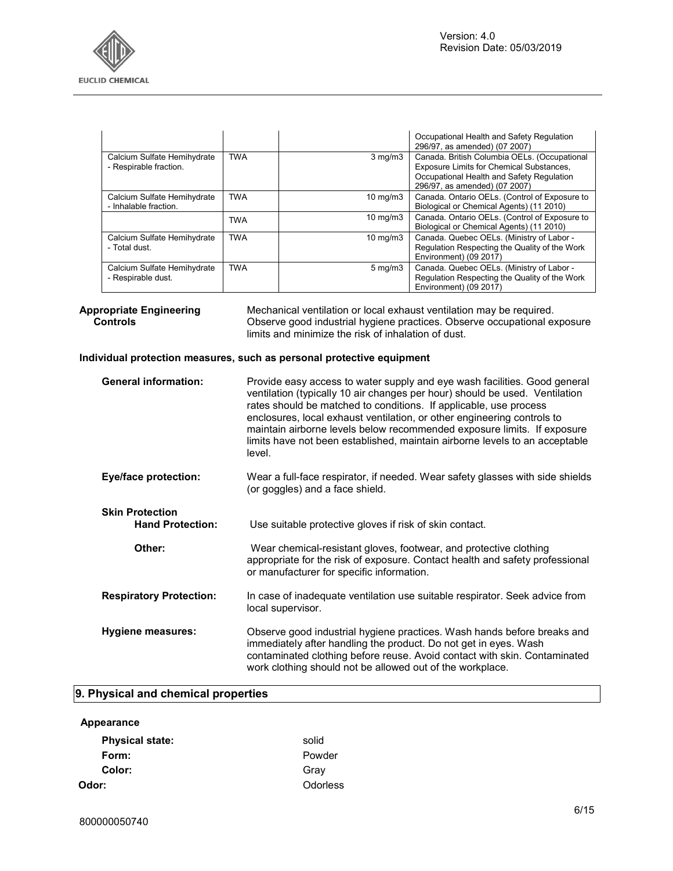

|                                                       |            |                   | Occupational Health and Safety Regulation<br>296/97, as amended) (07 2007)                                                                                             |
|-------------------------------------------------------|------------|-------------------|------------------------------------------------------------------------------------------------------------------------------------------------------------------------|
| Calcium Sulfate Hemihydrate<br>- Respirable fraction. | <b>TWA</b> | $3 \text{ mg/m}$  | Canada. British Columbia OELs. (Occupational<br>Exposure Limits for Chemical Substances,<br>Occupational Health and Safety Regulation<br>296/97, as amended) (07 2007) |
| Calcium Sulfate Hemihydrate<br>- Inhalable fraction.  | <b>TWA</b> | $10 \text{ mg/m}$ | Canada. Ontario OELs. (Control of Exposure to<br>Biological or Chemical Agents) (11 2010)                                                                              |
|                                                       | <b>TWA</b> | $10 \text{ mg/m}$ | Canada. Ontario OELs. (Control of Exposure to<br>Biological or Chemical Agents) (11 2010)                                                                              |
| Calcium Sulfate Hemihydrate<br>- Total dust.          | <b>TWA</b> | $10 \text{ mg/m}$ | Canada. Quebec OELs. (Ministry of Labor -<br>Regulation Respecting the Quality of the Work<br>Environment) (09 2017)                                                   |
| Calcium Sulfate Hemihydrate<br>- Respirable dust.     | <b>TWA</b> | $5 \text{ mg/m}$  | Canada. Quebec OELs. (Ministry of Labor -<br>Regulation Respecting the Quality of the Work<br>Environment) (09 2017)                                                   |

**Appropriate Engineering Controls**  Mechanical ventilation or local exhaust ventilation may be required. Observe good industrial hygiene practices. Observe occupational exposure limits and minimize the risk of inhalation of dust.

## **Individual protection measures, such as personal protective equipment**

| <b>General information:</b>                       | Provide easy access to water supply and eye wash facilities. Good general<br>ventilation (typically 10 air changes per hour) should be used. Ventilation<br>rates should be matched to conditions. If applicable, use process<br>enclosures, local exhaust ventilation, or other engineering controls to<br>maintain airborne levels below recommended exposure limits. If exposure<br>limits have not been established, maintain airborne levels to an acceptable<br>level. |
|---------------------------------------------------|------------------------------------------------------------------------------------------------------------------------------------------------------------------------------------------------------------------------------------------------------------------------------------------------------------------------------------------------------------------------------------------------------------------------------------------------------------------------------|
| <b>Eye/face protection:</b>                       | Wear a full-face respirator, if needed. Wear safety glasses with side shields<br>(or goggles) and a face shield.                                                                                                                                                                                                                                                                                                                                                             |
| <b>Skin Protection</b><br><b>Hand Protection:</b> | Use suitable protective gloves if risk of skin contact.                                                                                                                                                                                                                                                                                                                                                                                                                      |
| Other:                                            | Wear chemical-resistant gloves, footwear, and protective clothing<br>appropriate for the risk of exposure. Contact health and safety professional<br>or manufacturer for specific information.                                                                                                                                                                                                                                                                               |
| <b>Respiratory Protection:</b>                    | In case of inadequate ventilation use suitable respirator. Seek advice from<br>local supervisor.                                                                                                                                                                                                                                                                                                                                                                             |
| Hygiene measures:                                 | Observe good industrial hygiene practices. Wash hands before breaks and<br>immediately after handling the product. Do not get in eyes. Wash<br>contaminated clothing before reuse. Avoid contact with skin. Contaminated<br>work clothing should not be allowed out of the workplace.                                                                                                                                                                                        |

## **9. Physical and chemical properties**

## **Appearance**

| <b>Physical state:</b> | solid    |
|------------------------|----------|
| Form:                  | Powder   |
| Color:                 | Gray     |
| Odor:                  | Odorless |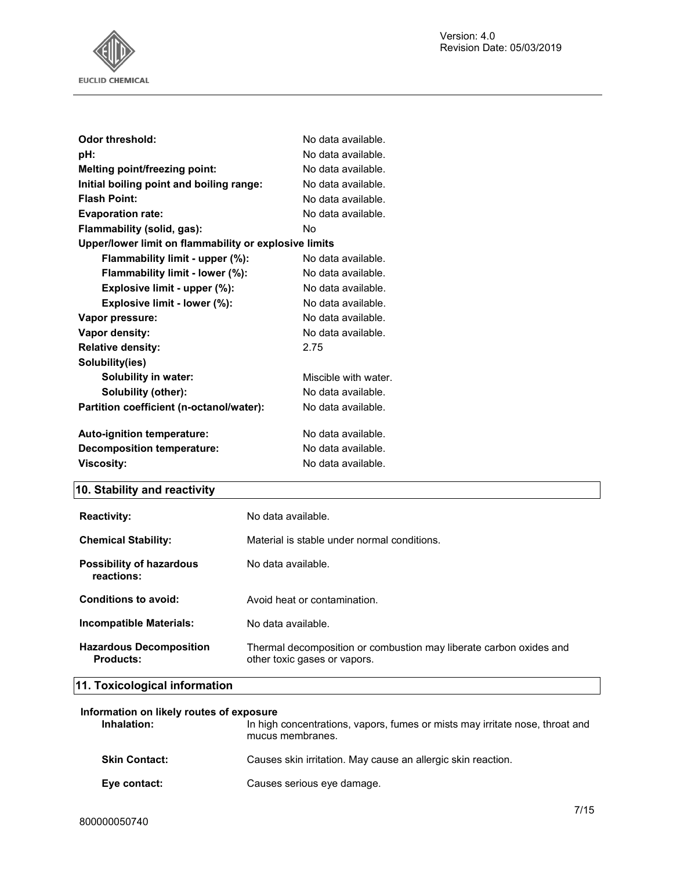

| <b>Odor threshold:</b>                                | No data available.   |
|-------------------------------------------------------|----------------------|
| pH:                                                   | No data available.   |
| Melting point/freezing point:                         | No data available.   |
| Initial boiling point and boiling range:              | No data available.   |
| <b>Flash Point:</b>                                   | No data available.   |
| <b>Evaporation rate:</b>                              | No data available.   |
| Flammability (solid, gas):                            | No.                  |
| Upper/lower limit on flammability or explosive limits |                      |
| Flammability limit - upper (%):                       | No data available.   |
| Flammability limit - lower (%):                       | No data available.   |
| Explosive limit - upper (%):                          | No data available.   |
| Explosive limit - lower (%):                          | No data available.   |
| Vapor pressure:                                       | No data available.   |
| Vapor density:                                        | No data available.   |
| <b>Relative density:</b>                              | 2.75                 |
| Solubility(ies)                                       |                      |
| Solubility in water:                                  | Miscible with water. |
| Solubility (other):                                   | No data available.   |
| Partition coefficient (n-octanol/water):              | No data available.   |
|                                                       |                      |
| Auto-ignition temperature:                            | No data available.   |
| <b>Decomposition temperature:</b>                     | No data available.   |
| <b>Viscosity:</b>                                     | No data available.   |

## **10. Stability and reactivity**

| <b>Reactivity:</b>                          | No data available.                                                                                 |
|---------------------------------------------|----------------------------------------------------------------------------------------------------|
| <b>Chemical Stability:</b>                  | Material is stable under normal conditions.                                                        |
| Possibility of hazardous<br>reactions:      | No data available.                                                                                 |
| Conditions to avoid:                        | Avoid heat or contamination.                                                                       |
| <b>Incompatible Materials:</b>              | No data available.                                                                                 |
| <b>Hazardous Decomposition</b><br>Products: | Thermal decomposition or combustion may liberate carbon oxides and<br>other toxic gases or vapors. |

## **11. Toxicological information**

| Information on likely routes of exposure |                                                                                                  |
|------------------------------------------|--------------------------------------------------------------------------------------------------|
| Inhalation:                              | In high concentrations, vapors, fumes or mists may irritate nose, throat and<br>mucus membranes. |
| <b>Skin Contact:</b>                     | Causes skin irritation. May cause an allergic skin reaction.                                     |
| Eye contact:                             | Causes serious eye damage.                                                                       |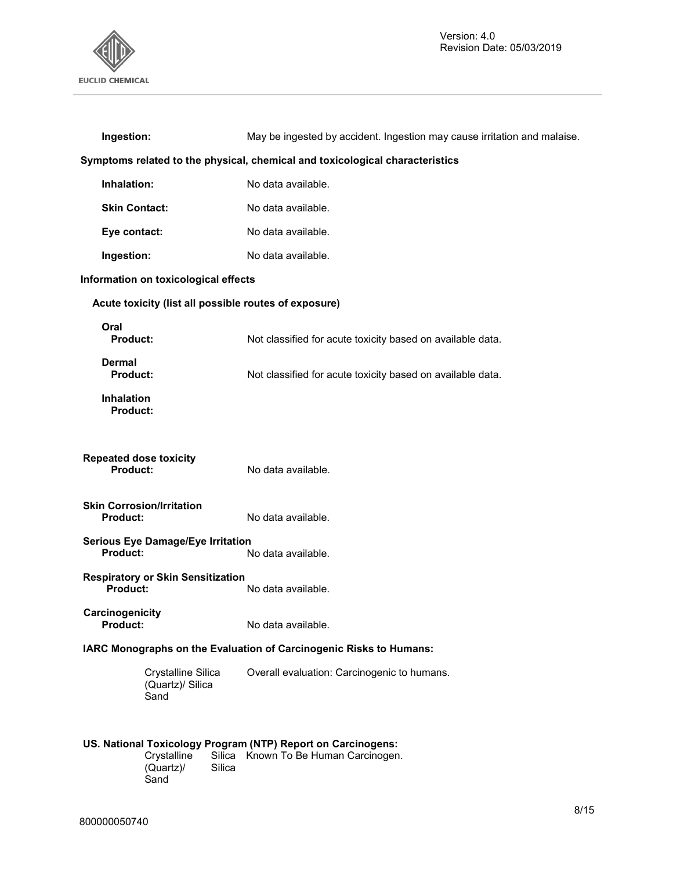

| Ingestion:                                                                                                           | May be ingested by accident. Ingestion may cause irritation and malaise.     |  |  |
|----------------------------------------------------------------------------------------------------------------------|------------------------------------------------------------------------------|--|--|
|                                                                                                                      | Symptoms related to the physical, chemical and toxicological characteristics |  |  |
| Inhalation:                                                                                                          | No data available.                                                           |  |  |
| <b>Skin Contact:</b>                                                                                                 | No data available.                                                           |  |  |
| Eye contact:                                                                                                         | No data available.                                                           |  |  |
| Ingestion:                                                                                                           | No data available.                                                           |  |  |
| Information on toxicological effects                                                                                 |                                                                              |  |  |
| Acute toxicity (list all possible routes of exposure)                                                                |                                                                              |  |  |
| Oral<br>Product:                                                                                                     | Not classified for acute toxicity based on available data.                   |  |  |
| Dermal<br><b>Product:</b>                                                                                            | Not classified for acute toxicity based on available data.                   |  |  |
| <b>Inhalation</b><br><b>Product:</b>                                                                                 |                                                                              |  |  |
| <b>Repeated dose toxicity</b><br><b>Product:</b>                                                                     | No data available.                                                           |  |  |
| <b>Skin Corrosion/Irritation</b><br>Product:                                                                         | No data available.                                                           |  |  |
| <b>Serious Eye Damage/Eye Irritation</b><br>Product:                                                                 | No data available.                                                           |  |  |
| <b>Respiratory or Skin Sensitization</b><br><b>Product:</b>                                                          | No data available.                                                           |  |  |
| Carcinogenicity<br><b>Product:</b>                                                                                   | No data available.                                                           |  |  |
|                                                                                                                      | IARC Monographs on the Evaluation of Carcinogenic Risks to Humans:           |  |  |
| Crystalline Silica<br>(Quartz)/ Silica<br>Sand                                                                       | Overall evaluation: Carcinogenic to humans.                                  |  |  |
| US. National Toxicology Program (NTP) Report on Carcinogens:<br>Crystalline<br>Silica<br>(Quartz)/<br>Silica<br>Sand | Known To Be Human Carcinogen.                                                |  |  |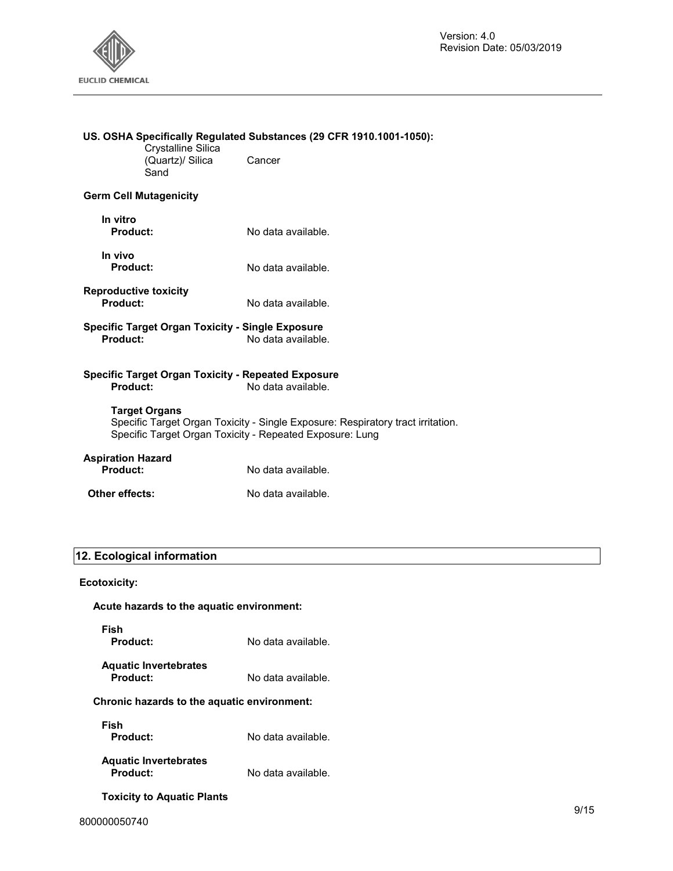

## **US. OSHA Specifically Regulated Substances (29 CFR 1910.1001-1050):**

Crystalline Silica (Quartz)/ Silica Sand Cancer

## **Germ Cell Mutagenicity**

- **In vitro Product:** No data available.
- **In vivo**
- **Reproductive toxicity**
- No data available.
- **Specific Target Organ Toxicity Single Exposure**  No data available.

#### **Specific Target Organ Toxicity - Repeated Exposure Product:** No data available.

**Target Organs**  Specific Target Organ Toxicity - Single Exposure: Respiratory tract irritation. Specific Target Organ Toxicity - Repeated Exposure: Lung

No data available.

## **Aspiration Hazard**

**Product:** No data available.

**Other effects:** No data available.

## **12. Ecological information**

## **Ecotoxicity:**

|  |  | Acute hazards to the aquatic environment: |
|--|--|-------------------------------------------|
|  |  |                                           |

**Fish** 

**Product:** No data available.

| <b>Aquatic Invertebrates</b> |                    |
|------------------------------|--------------------|
| <b>Product:</b>              | No data available. |

## **Chronic hazards to the aquatic environment:**

**Fish** 

**Product:** No data available.

## **Aquatic Invertebrates Product:** No data available.

**Toxicity to Aquatic Plants**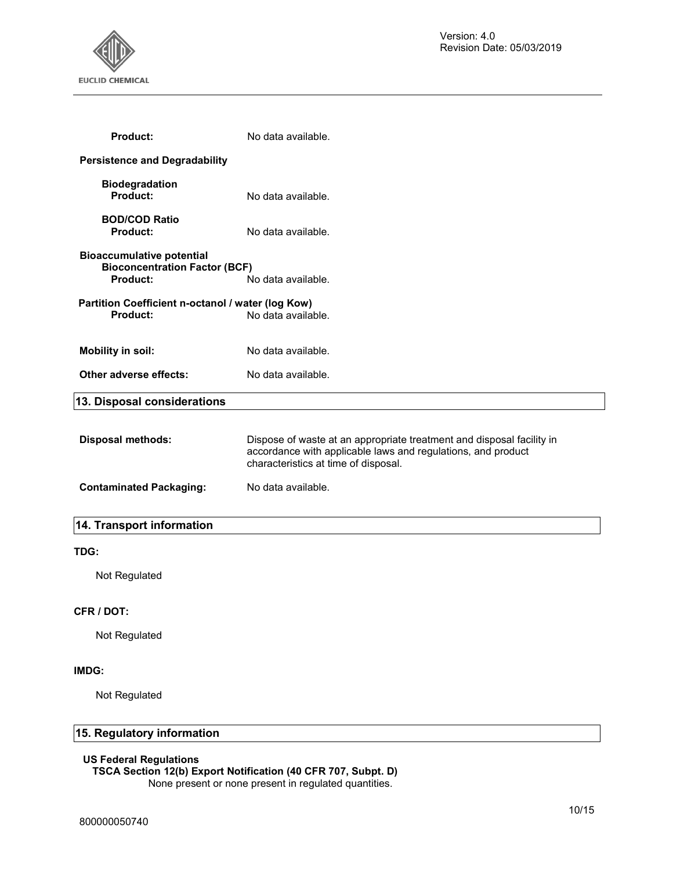

| <b>Product:</b>                                                                             | No data available.                                                                                                                                                            |
|---------------------------------------------------------------------------------------------|-------------------------------------------------------------------------------------------------------------------------------------------------------------------------------|
| <b>Persistence and Degradability</b>                                                        |                                                                                                                                                                               |
| <b>Biodegradation</b><br>Product:                                                           | No data available.                                                                                                                                                            |
| <b>BOD/COD Ratio</b><br><b>Product:</b>                                                     | No data available.                                                                                                                                                            |
| <b>Bioaccumulative potential</b><br><b>Bioconcentration Factor (BCF)</b><br><b>Product:</b> | No data available.                                                                                                                                                            |
| Partition Coefficient n-octanol / water (log Kow)<br><b>Product:</b>                        | No data available.                                                                                                                                                            |
| <b>Mobility in soil:</b>                                                                    | No data available.                                                                                                                                                            |
| Other adverse effects:                                                                      | No data available.                                                                                                                                                            |
| 13. Disposal considerations                                                                 |                                                                                                                                                                               |
| <b>Disposal methods:</b>                                                                    | Dispose of waste at an appropriate treatment and disposal facility in<br>accordance with applicable laws and regulations, and product<br>characteristics at time of disposal. |
| <b>Contaminated Packaging:</b>                                                              | No data available.                                                                                                                                                            |
| 14. Transport information                                                                   |                                                                                                                                                                               |
| TDG:                                                                                        |                                                                                                                                                                               |
| Not Regulated                                                                               |                                                                                                                                                                               |
| <b>CFR / DOT:</b>                                                                           |                                                                                                                                                                               |
| Not Regulated                                                                               |                                                                                                                                                                               |
|                                                                                             |                                                                                                                                                                               |

## **IMDG:**

Not Regulated

## **15. Regulatory information**

## **US Federal Regulations**

**TSCA Section 12(b) Export Notification (40 CFR 707, Subpt. D)** 

None present or none present in regulated quantities.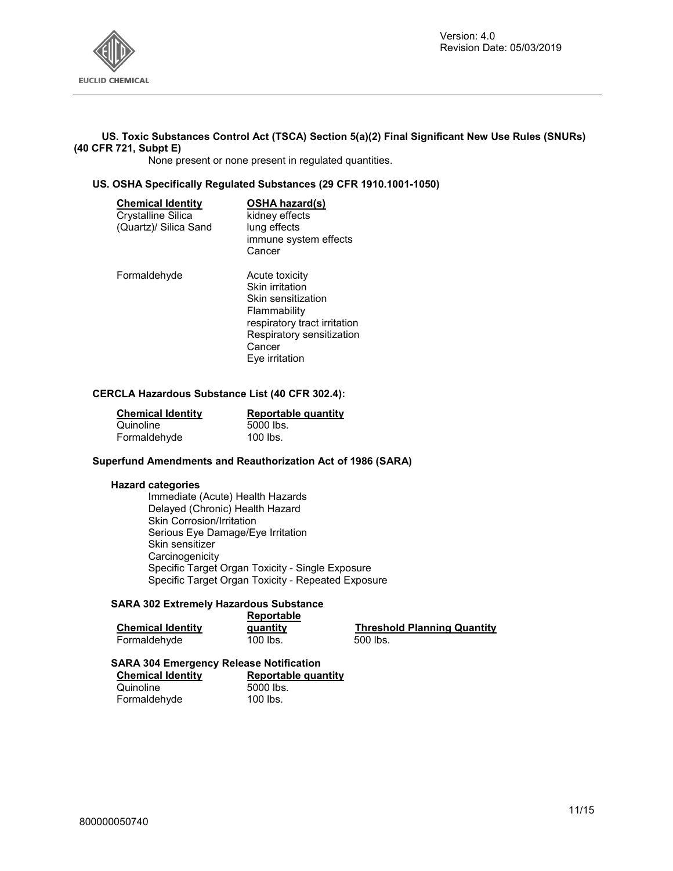

## **US. Toxic Substances Control Act (TSCA) Section 5(a)(2) Final Significant New Use Rules (SNURs) (40 CFR 721, Subpt E)**

None present or none present in regulated quantities.

## **US. OSHA Specifically Regulated Substances (29 CFR 1910.1001-1050)**

| <b>Chemical Identity</b><br>Crystalline Silica<br>(Quartz)/ Silica Sand | <b>OSHA hazard(s)</b><br>kidney effects<br>lung effects<br>immune system effects<br>Cancer                                                                       |
|-------------------------------------------------------------------------|------------------------------------------------------------------------------------------------------------------------------------------------------------------|
| Formaldehyde                                                            | Acute toxicity<br>Skin irritation<br>Skin sensitization<br>Flammability<br>respiratory tract irritation<br>Respiratory sensitization<br>Cancer<br>Eye irritation |

## **CERCLA Hazardous Substance List (40 CFR 302.4):**

| <b>Chemical Identity</b> | Reportable quantity |
|--------------------------|---------------------|
| Quinoline                | 5000 lbs.           |
| Formaldehyde             | 100 lbs.            |

## **Superfund Amendments and Reauthorization Act of 1986 (SARA)**

## **Hazard categories**

Immediate (Acute) Health Hazards Delayed (Chronic) Health Hazard Skin Corrosion/Irritation Serious Eye Damage/Eye Irritation Skin sensitizer **Carcinogenicity** Specific Target Organ Toxicity - Single Exposure Specific Target Organ Toxicity - Repeated Exposure

## **SARA 302 Extremely Hazardous Substance**

|                          | Reportable |                                    |
|--------------------------|------------|------------------------------------|
| <b>Chemical Identity</b> | quantity   | <b>Threshold Planning Quantity</b> |
| Formaldehyde             | 100 lbs.   | 500 lbs.                           |

#### **SARA 304 Emergency Release Notification**

| <b>Chemical Identity</b> | <b>Reportable quantity</b> |
|--------------------------|----------------------------|
| Quinoline                | 5000 lbs.                  |
| Formaldehyde             | 100 lbs.                   |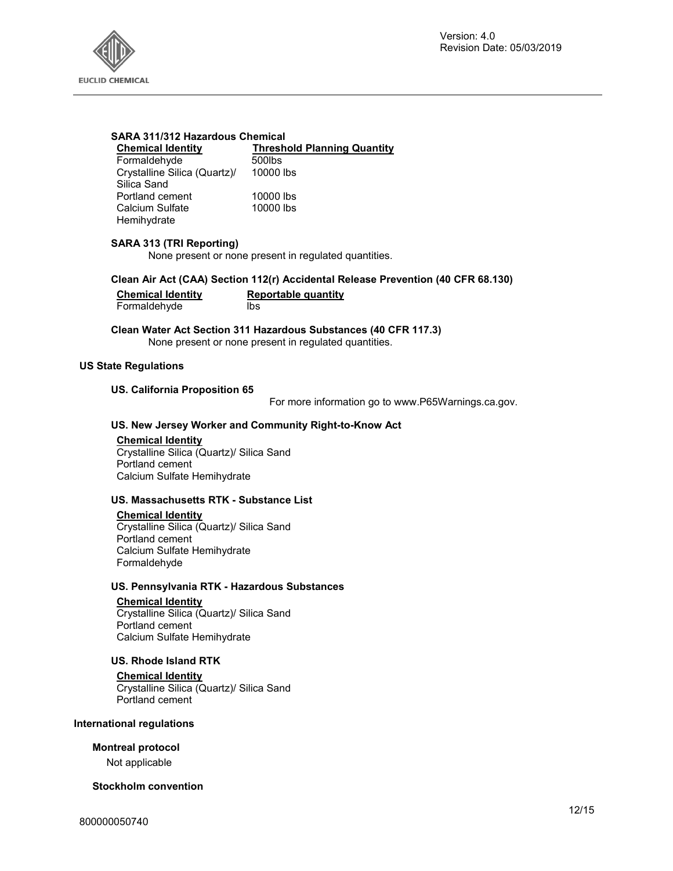

#### **SARA 311/312 Hazardous Chemical**

| <b>Chemical Identity</b>     | <b>Threshold Planning Quantity</b> |
|------------------------------|------------------------------------|
| Formaldehyde                 | 500lbs                             |
| Crystalline Silica (Quartz)/ | 10000 lbs                          |
| Silica Sand                  |                                    |
| Portland cement              | 10000 lbs                          |
| Calcium Sulfate              | 10000 lbs                          |
| Hemihydrate                  |                                    |

## **SARA 313 (TRI Reporting)**

None present or none present in regulated quantities.

## **Clean Air Act (CAA) Section 112(r) Accidental Release Prevention (40 CFR 68.130)**

| <b>Chemical Identity</b> | Reportable quantity |
|--------------------------|---------------------|
| Formaldehyde             | lbs                 |

**Clean Water Act Section 311 Hazardous Substances (40 CFR 117.3)**  None present or none present in regulated quantities.

#### **US State Regulations**

## **US. California Proposition 65**

For more information go to www.P65Warnings.ca.gov.

## **US. New Jersey Worker and Community Right-to-Know Act**

#### **Chemical Identity**

Crystalline Silica (Quartz)/ Silica Sand Portland cement Calcium Sulfate Hemihydrate

## **US. Massachusetts RTK - Substance List**

## **Chemical Identity**

Crystalline Silica (Quartz)/ Silica Sand Portland cement Calcium Sulfate Hemihydrate Formaldehyde

#### **US. Pennsylvania RTK - Hazardous Substances**

## **Chemical Identity**

Crystalline Silica (Quartz)/ Silica Sand Portland cement Calcium Sulfate Hemihydrate

## **US. Rhode Island RTK**

#### **Chemical Identity**

Crystalline Silica (Quartz)/ Silica Sand Portland cement

## **International regulations**

## **Montreal protocol**

Not applicable

## **Stockholm convention**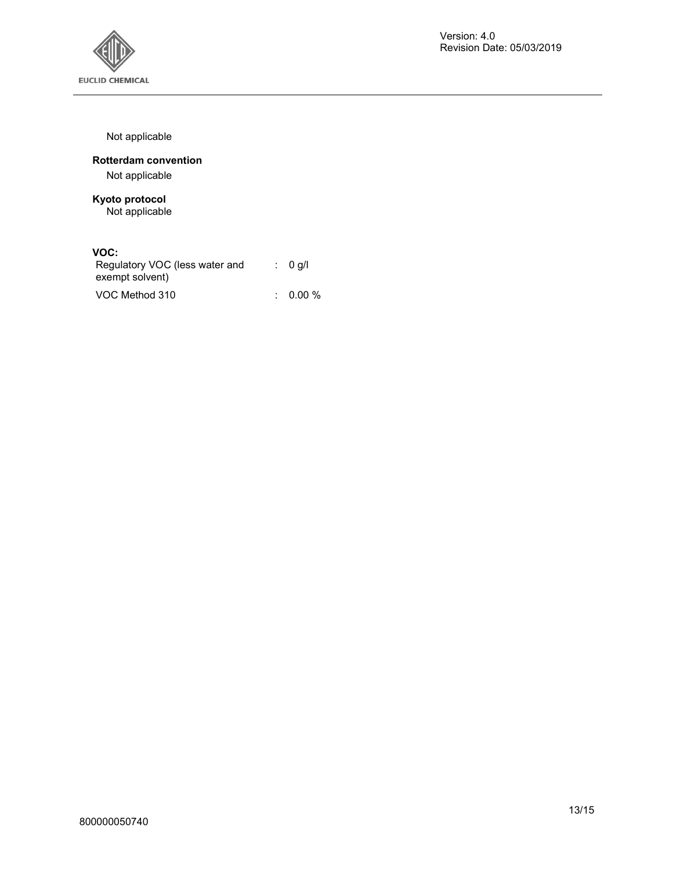

Not applicable

## **Rotterdam convention**

Not applicable

## **Kyoto protocol**  Not applicable

## **VOC:**

| Regulatory VOC (less water and<br>exempt solvent) | : 0 q/l             |
|---------------------------------------------------|---------------------|
| VOC Method 310                                    | $\therefore$ 0.00 % |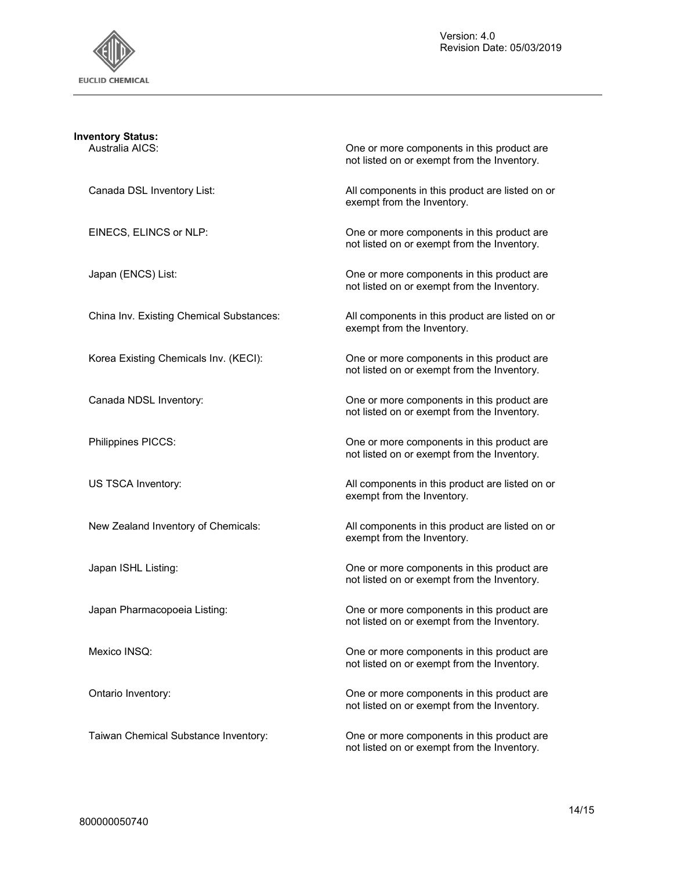

| <b>Inventory Status:</b>                 |                                                                                           |
|------------------------------------------|-------------------------------------------------------------------------------------------|
| Australia AICS:                          | One or more components in this product are<br>not listed on or exempt from the Inventory. |
| Canada DSL Inventory List:               | All components in this product are listed on or<br>exempt from the Inventory.             |
| EINECS, ELINCS or NLP:                   | One or more components in this product are<br>not listed on or exempt from the Inventory. |
| Japan (ENCS) List:                       | One or more components in this product are<br>not listed on or exempt from the Inventory. |
| China Inv. Existing Chemical Substances: | All components in this product are listed on or<br>exempt from the Inventory.             |
| Korea Existing Chemicals Inv. (KECI):    | One or more components in this product are<br>not listed on or exempt from the Inventory. |
| Canada NDSL Inventory:                   | One or more components in this product are<br>not listed on or exempt from the Inventory. |
| Philippines PICCS:                       | One or more components in this product are<br>not listed on or exempt from the Inventory. |
| US TSCA Inventory:                       | All components in this product are listed on or<br>exempt from the Inventory.             |
| New Zealand Inventory of Chemicals:      | All components in this product are listed on or<br>exempt from the Inventory.             |
| Japan ISHL Listing:                      | One or more components in this product are<br>not listed on or exempt from the Inventory. |
| Japan Pharmacopoeia Listing:             | One or more components in this product are<br>not listed on or exempt from the Inventory. |
| Mexico INSQ:                             | One or more components in this product are<br>not listed on or exempt from the Inventory. |
| Ontario Inventory:                       | One or more components in this product are<br>not listed on or exempt from the Inventory. |
| Taiwan Chemical Substance Inventory:     | One or more components in this product are<br>not listed on or exempt from the Inventory. |